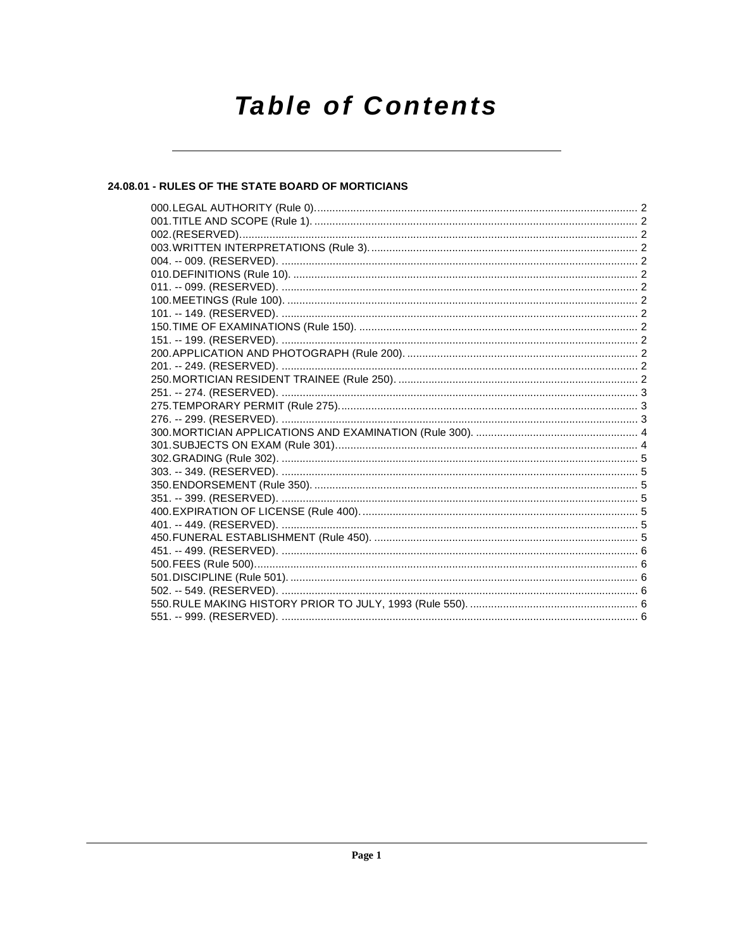# **Table of Contents**

# 24.08.01 - RULES OF THE STATE BOARD OF MORTICIANS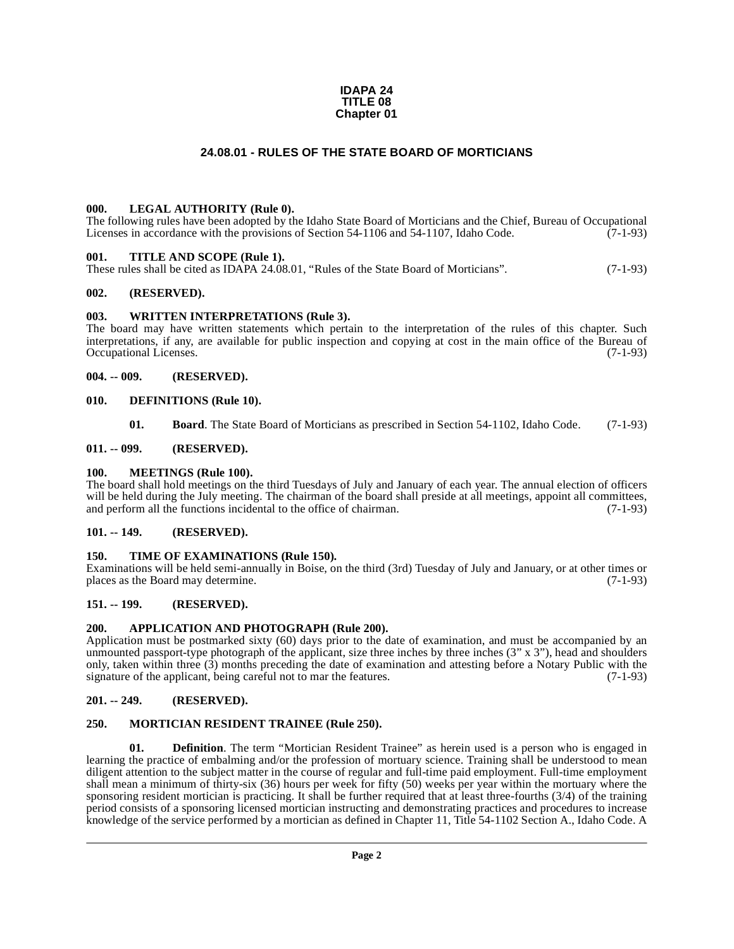#### **IDAPA 24 TITLE 08 Chapter 01**

# **24.08.01 - RULES OF THE STATE BOARD OF MORTICIANS**

#### <span id="page-1-1"></span><span id="page-1-0"></span>**000. LEGAL AUTHORITY (Rule 0).**

The following rules have been adopted by the Idaho State Board of Morticians and the Chief, Bureau of Occupational Licenses in accordance with the provisions of Section 54-1106 and 54-1107, Idaho Code.  $(7-1-93)$ 

#### <span id="page-1-2"></span>**001. TITLE AND SCOPE (Rule 1).**

These rules shall be cited as IDAPA 24.08.01, "Rules of the State Board of Morticians". (7-1-93)

#### <span id="page-1-3"></span>**002. (RESERVED).**

#### <span id="page-1-4"></span>**003. WRITTEN INTERPRETATIONS (Rule 3).**

The board may have written statements which pertain to the interpretation of the rules of this chapter. Such interpretations, if any, are available for public inspection and copying at cost in the main office of the Bureau of Occupational Licenses. (7-1-93)

#### <span id="page-1-5"></span>**004. -- 009. (RESERVED).**

#### <span id="page-1-6"></span>**010. DEFINITIONS (Rule 10).**

<span id="page-1-18"></span><span id="page-1-17"></span><span id="page-1-16"></span>**01. Board**. The State Board of Morticians as prescribed in Section 54-1102, Idaho Code. (7-1-93)

#### <span id="page-1-7"></span>**011. -- 099. (RESERVED).**

#### <span id="page-1-8"></span>**100. MEETINGS (Rule 100).**

The board shall hold meetings on the third Tuesdays of July and January of each year. The annual election of officers will be held during the July meeting. The chairman of the board shall preside at all meetings, appoint all committees, and perform all the functions incidental to the office of chairman. (7-1-93)

### <span id="page-1-9"></span>**101. -- 149. (RESERVED).**

#### <span id="page-1-20"></span><span id="page-1-10"></span>**150. TIME OF EXAMINATIONS (Rule 150).**

Examinations will be held semi-annually in Boise, on the third (3rd) Tuesday of July and January, or at other times or places as the Board may determine.

#### <span id="page-1-11"></span>**151. -- 199. (RESERVED).**

#### <span id="page-1-15"></span><span id="page-1-12"></span>**200. APPLICATION AND PHOTOGRAPH (Rule 200).**

Application must be postmarked sixty (60) days prior to the date of examination, and must be accompanied by an unmounted passport-type photograph of the applicant, size three inches by three inches  $(3'' \times 3'')$ , head and shoulders only, taken within three (3) months preceding the date of examination and attesting before a Notary Public with the signature of the applicant, being careful not to mar the features. (7-1-93)

#### <span id="page-1-13"></span>**201. -- 249. (RESERVED).**

#### <span id="page-1-19"></span><span id="page-1-14"></span>**250. MORTICIAN RESIDENT TRAINEE (Rule 250).**

**01. Definition**. The term "Mortician Resident Trainee" as herein used is a person who is engaged in learning the practice of embalming and/or the profession of mortuary science. Training shall be understood to mean diligent attention to the subject matter in the course of regular and full-time paid employment. Full-time employment shall mean a minimum of thirty-six (36) hours per week for fifty (50) weeks per year within the mortuary where the sponsoring resident mortician is practicing. It shall be further required that at least three-fourths (3/4) of the training period consists of a sponsoring licensed mortician instructing and demonstrating practices and procedures to increase knowledge of the service performed by a mortician as defined in Chapter 11, Title 54-1102 Section A., Idaho Code. A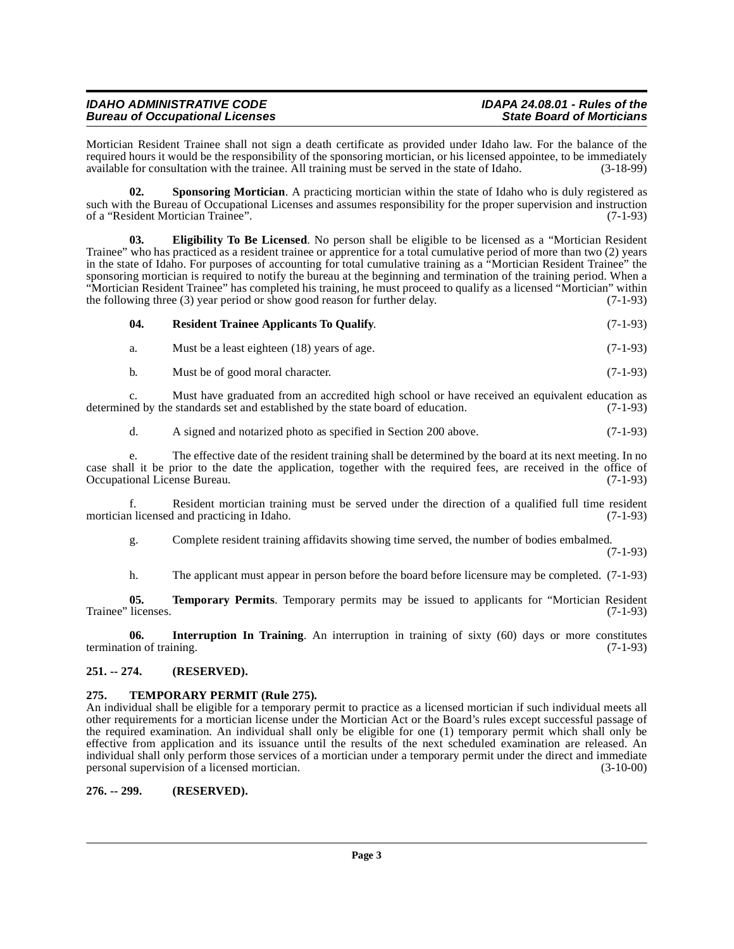| <b>IDAHO ADMINISTRATIVE CODE</b>       | IDAPA 24.08.01 - Rules of the    |
|----------------------------------------|----------------------------------|
| <b>Bureau of Occupational Licenses</b> | <b>State Board of Morticians</b> |

Mortician Resident Trainee shall not sign a death certificate as provided under Idaho law. For the balance of the required hours it would be the responsibility of the sponsoring mortician, or his licensed appointee, to be immediately available for consultation with the trainee. All training must be served in the state of Idaho. (3-18-99)

<span id="page-2-6"></span>**02.** Sponsoring Mortician. A practicing mortician within the state of Idaho who is duly registered as such with the Bureau of Occupational Licenses and assumes responsibility for the proper supervision and instruction<br>of a "Resident Mortician Trainee". of a "Resident Mortician Trainee".

<span id="page-2-3"></span>**03. Eligibility To Be Licensed**. No person shall be eligible to be licensed as a "Mortician Resident Trainee" who has practiced as a resident trainee or apprentice for a total cumulative period of more than two (2) years in the state of Idaho. For purposes of accounting for total cumulative training as a "Mortician Resident Trainee" the sponsoring mortician is required to notify the bureau at the beginning and termination of the training period. When a "Mortician Resident Trainee" has completed his training, he must proceed to qualify as a licensed "Mortician" within the following three (3) year period or show good reason for further delay. (7-1-93)

#### <span id="page-2-5"></span>**04. Resident Trainee Applicants To Qualify**. (7-1-93)

a. Must be a least eighteen (18) years of age. (7-1-93)

b. Must be of good moral character. (7-1-93)

c. Must have graduated from an accredited high school or have received an equivalent education as ed by the standards set and established by the state board of education. (7-1-93) determined by the standards set and established by the state board of education.

d. A signed and notarized photo as specified in Section 200 above. (7-1-93)

e. The effective date of the resident training shall be determined by the board at its next meeting. In no case shall it be prior to the date the application, together with the required fees, are received in the office of Occupational License Bureau. (7-1-93) Occupational License Bureau.

f. Resident mortician training must be served under the direction of a qualified full time resident mortician licensed and practicing in Idaho. (7-1-93)

g. Complete resident training affidavits showing time served, the number of bodies embalmed.

(7-1-93)

<span id="page-2-8"></span><span id="page-2-4"></span>h. The applicant must appear in person before the board before licensure may be completed. (7-1-93)

**05. Temporary Permits**. Temporary permits may be issued to applicants for "Mortician Resident licenses. (7-1-93) Trainee" licenses.

**06. Interruption In Training**. An interruption in training of sixty (60) days or more constitutes termination of training. (7-1-93)

### <span id="page-2-0"></span>**251. -- 274. (RESERVED).**

# <span id="page-2-7"></span><span id="page-2-1"></span>**275. TEMPORARY PERMIT (Rule 275).**

An individual shall be eligible for a temporary permit to practice as a licensed mortician if such individual meets all other requirements for a mortician license under the Mortician Act or the Board's rules except successful passage of the required examination. An individual shall only be eligible for one (1) temporary permit which shall only be effective from application and its issuance until the results of the next scheduled examination are released. An individual shall only perform those services of a mortician under a temporary permit under the direct and immediate personal supervision of a licensed mortician. (3-10-00)

# <span id="page-2-2"></span>**276. -- 299. (RESERVED).**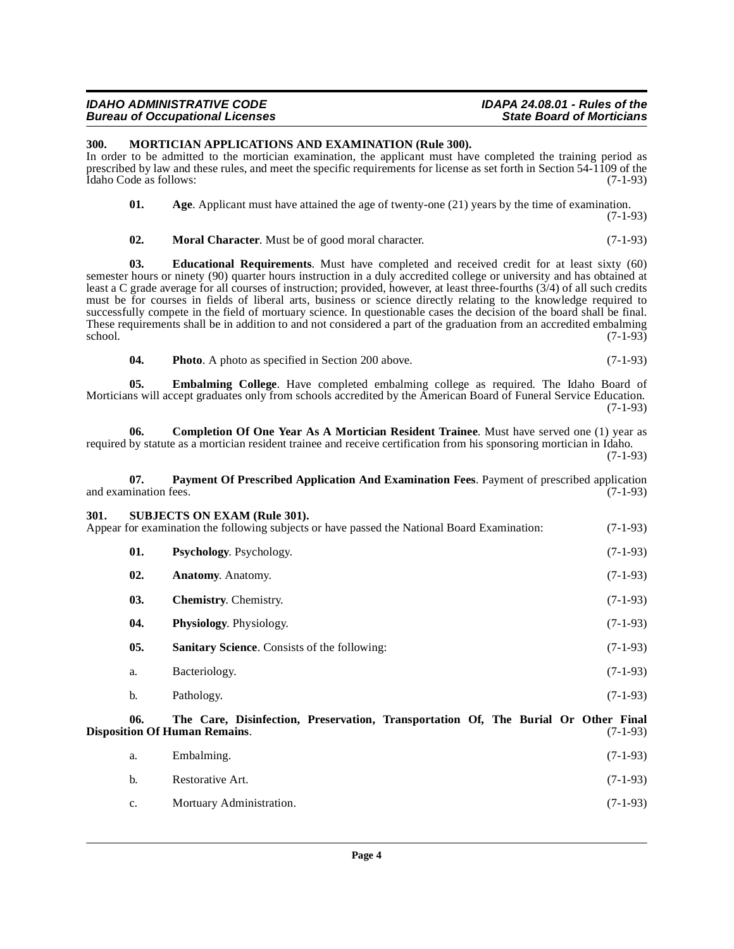#### **IDAHO ADMINISTRATIVE CODE IDAPA 24.08.01 - Rules of the Bureau of Occupational Licenses**

### <span id="page-3-9"></span><span id="page-3-0"></span>**300. MORTICIAN APPLICATIONS AND EXAMINATION (Rule 300).**

In order to be admitted to the mortician examination, the applicant must have completed the training period as prescribed by law and these rules, and meet the specific requirements for license as set forth in Section 54-1109 of the Idaho Code as follows: (7-1-93) Idaho Code as follows:

<span id="page-3-2"></span>

| 01. | Age. Applicant must have attained the age of twenty-one $(21)$ years by the time of examination. |  |
|-----|--------------------------------------------------------------------------------------------------|--|
|     | $(7-1-93)$                                                                                       |  |

<span id="page-3-8"></span><span id="page-3-6"></span>**02. Moral Character**. Must be of good moral character. (7-1-93)

**03. Educational Requirements**. Must have completed and received credit for at least sixty (60) semester hours or ninety (90) quarter hours instruction in a duly accredited college or university and has obtained at least a C grade average for all courses of instruction; provided, however, at least three-fourths (3/4) of all such credits must be for courses in fields of liberal arts, business or science directly relating to the knowledge required to successfully compete in the field of mortuary science. In questionable cases the decision of the board shall be final. These requirements shall be in addition to and not considered a part of the graduation from an accredited embalming school. (7-1-93)  $\frac{1}{(7-1-93)}$ 

<span id="page-3-11"></span><span id="page-3-7"></span><span id="page-3-5"></span>**04.** Photo A photo as specified in Section 200 above. (7-1-93)

**05. Embalming College**. Have completed embalming college as required. The Idaho Board of Morticians will accept graduates only from schools accredited by the American Board of Funeral Service Education. (7-1-93)

**06. Completion Of One Year As A Mortician Resident Trainee**. Must have served one (1) year as required by statute as a mortician resident trainee and receive certification from his sponsoring mortician in Idaho. (7-1-93)

### <span id="page-3-10"></span>**07. Payment Of Prescribed Application And Examination Fees**. Payment of prescribed application ination fees. (7-1-93) and examination fees.

<span id="page-3-15"></span><span id="page-3-13"></span><span id="page-3-12"></span><span id="page-3-4"></span><span id="page-3-3"></span><span id="page-3-1"></span>

| 301. |     | <b>SUBJECTS ON EXAM (Rule 301).</b><br>Appear for examination the following subjects or have passed the National Board Examination: | $(7-1-93)$ |
|------|-----|-------------------------------------------------------------------------------------------------------------------------------------|------------|
|      | 01. | <b>Psychology.</b> Psychology.                                                                                                      | $(7-1-93)$ |
|      | 02. | <b>Anatomy.</b> Anatomy.                                                                                                            | $(7-1-93)$ |
|      | 03. | <b>Chemistry.</b> Chemistry.                                                                                                        | $(7-1-93)$ |
|      | 04. | <b>Physiology.</b> Physiology.                                                                                                      | $(7-1-93)$ |
|      | 05. | <b>Sanitary Science.</b> Consists of the following:                                                                                 | $(7-1-93)$ |
|      | a.  | Bacteriology.                                                                                                                       | $(7-1-93)$ |
|      | b.  | Pathology.                                                                                                                          | $(7-1-93)$ |
|      |     |                                                                                                                                     |            |

<span id="page-3-14"></span>**06. The Care, Disinfection, Preservation, Transportation Of, The Burial Or Other Final Disposition Of Human Remains.** 

<span id="page-3-16"></span>

| a.             | Embalming.               | $(7-1-93)$ |
|----------------|--------------------------|------------|
| $\mathbf{b}$ . | Restorative Art.         | $(7-1-93)$ |
| $c_{\cdot}$    | Mortuary Administration. | $(7-1-93)$ |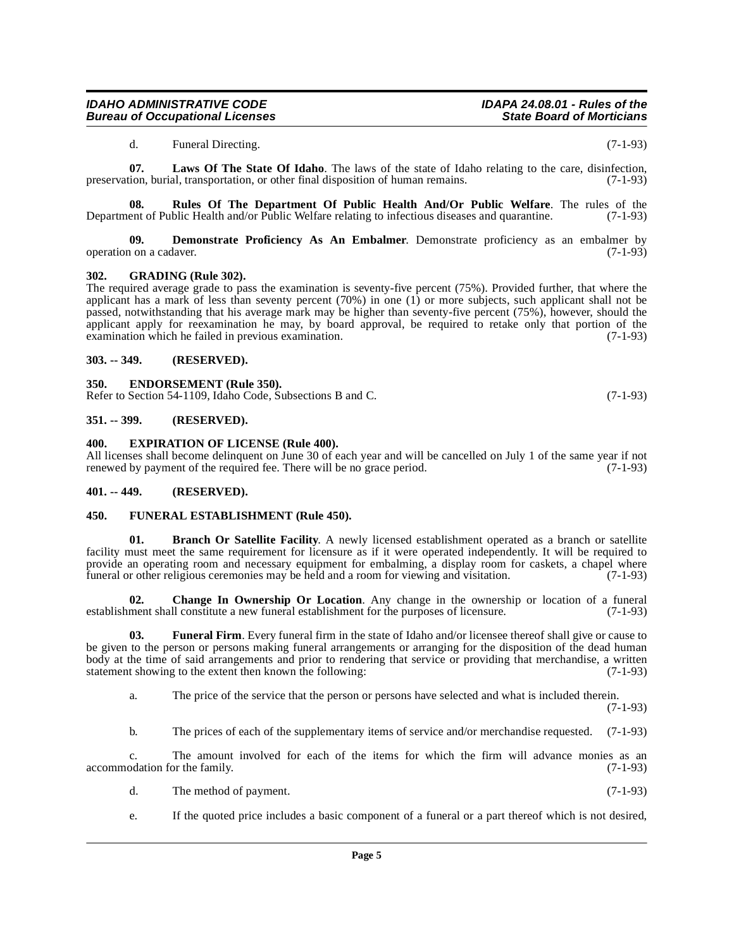#### **IDAHO ADMINISTRATIVE CODE IDAPA 24.08.01 - Rules of the Bureau of Occupational Licenses**

<span id="page-4-16"></span><span id="page-4-15"></span>d. Funeral Directing. (7-1-93)

**07. Laws Of The State Of Idaho**. The laws of the state of Idaho relating to the care, disinfection, preservation, burial, transportation, or other final disposition of human remains. (7-1-93)

**08.** Rules Of The Department Of Public Health And/Or Public Welfare. The rules of the ent of Public Health and/or Public Welfare relating to infectious diseases and quarantine. (7-1-93) Department of Public Health and/or Public Welfare relating to infectious diseases and quarantine.

<span id="page-4-9"></span>**09. Demonstrate Proficiency As An Embalmer**. Demonstrate proficiency as an embalmer by operation on a cadaver. (7-1-93)

#### <span id="page-4-14"></span><span id="page-4-0"></span>**302. GRADING (Rule 302).**

The required average grade to pass the examination is seventy-five percent (75%). Provided further, that where the applicant has a mark of less than seventy percent (70%) in one (1) or more subjects, such applicant shall not be passed, notwithstanding that his average mark may be higher than seventy-five percent (75%), however, should the applicant apply for reexamination he may, by board approval, be required to retake only that portion of the examination which he failed in previous examination.  $(7-1-93)$ examination which he failed in previous examination.

#### <span id="page-4-1"></span>**303. -- 349. (RESERVED).**

#### <span id="page-4-10"></span><span id="page-4-2"></span>**350. ENDORSEMENT (Rule 350).**

Refer to Section 54-1109, Idaho Code, Subsections B and C. (7-1-93)

#### <span id="page-4-3"></span>**351. -- 399. (RESERVED).**

#### <span id="page-4-11"></span><span id="page-4-4"></span>**400. EXPIRATION OF LICENSE (Rule 400).**

All licenses shall become delinquent on June 30 of each year and will be cancelled on July 1 of the same year if not renewed by payment of the required fee. There will be no grace period. (7-1-93) renewed by payment of the required fee. There will be no grace period.

#### <span id="page-4-5"></span>**401. -- 449. (RESERVED).**

#### <span id="page-4-12"></span><span id="page-4-6"></span>**450. FUNERAL ESTABLISHMENT (Rule 450).**

<span id="page-4-7"></span>**01. Branch Or Satellite Facility**. A newly licensed establishment operated as a branch or satellite facility must meet the same requirement for licensure as if it were operated independently. It will be required to provide an operating room and necessary equipment for embalming, a display room for caskets, a chapel where funeral or other religious ceremonies may be held and a room for viewing and visitation. (7-1-93)

<span id="page-4-8"></span>**02.** Change In Ownership Or Location. Any change in the ownership or location of a funeral ment shall constitute a new funeral establishment for the purposes of licensure. (7-1-93) establishment shall constitute a new funeral establishment for the purposes of licensure.

**03. Funeral Firm**. Every funeral firm in the state of Idaho and/or licensee thereof shall give or cause to be given to the person or persons making funeral arrangements or arranging for the disposition of the dead human body at the time of said arrangements and prior to rendering that service or providing that merchandise, a written statement showing to the extent then known the following: (7-1-93) statement showing to the extent then known the following:

<span id="page-4-13"></span>a. The price of the service that the person or persons have selected and what is included therein.

(7-1-93)

b. The prices of each of the supplementary items of service and/or merchandise requested. (7-1-93)

c. The amount involved for each of the items for which the firm will advance monies as an accommodation for the family. (7-1-93)

- d. The method of payment. (7-1-93)
- e. If the quoted price includes a basic component of a funeral or a part thereof which is not desired,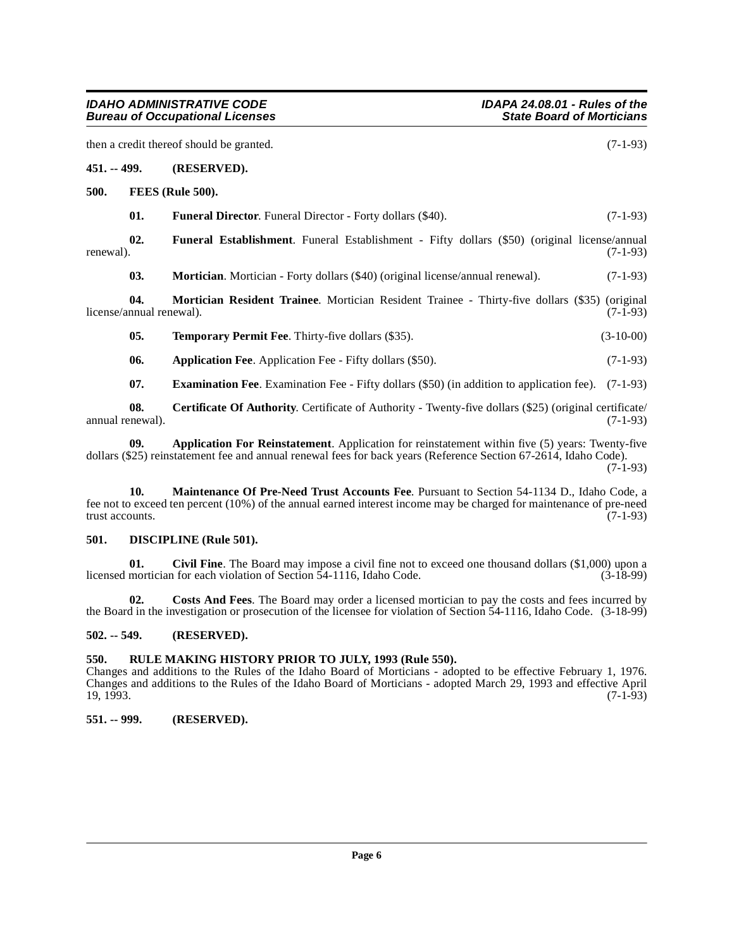<span id="page-5-17"></span><span id="page-5-16"></span><span id="page-5-14"></span><span id="page-5-13"></span><span id="page-5-12"></span><span id="page-5-1"></span><span id="page-5-0"></span>

|               |                                 | then a credit thereof should be granted.                                                                                                                                                                            | $(7-1-93)$  |
|---------------|---------------------------------|---------------------------------------------------------------------------------------------------------------------------------------------------------------------------------------------------------------------|-------------|
| $451. - 499.$ |                                 | (RESERVED).                                                                                                                                                                                                         |             |
| 500.          |                                 | FEES (Rule 500).                                                                                                                                                                                                    |             |
|               | 01.                             | <b>Funeral Director.</b> Funeral Director - Forty dollars (\$40).                                                                                                                                                   | $(7-1-93)$  |
| renewal).     | 02.                             | <b>Funeral Establishment.</b> Funeral Establishment - Fifty dollars (\$50) (original license/annual                                                                                                                 | $(7-1-93)$  |
|               | 03.                             | Mortician. Mortician - Forty dollars (\$40) (original license/annual renewal).                                                                                                                                      | $(7-1-93)$  |
|               | 04.<br>license/annual renewal). | Mortician Resident Trainee. Mortician Resident Trainee - Thirty-five dollars (\$35) (original                                                                                                                       | $(7-1-93)$  |
|               | 05.                             | <b>Temporary Permit Fee.</b> Thirty-five dollars (\$35).                                                                                                                                                            | $(3-10-00)$ |
|               | 06.                             | <b>Application Fee.</b> Application Fee - Fifty dollars (\$50).                                                                                                                                                     | $(7-1-93)$  |
|               | 07.                             | <b>Examination Fee.</b> Examination Fee - Fifty dollars (\$50) (in addition to application fee). (7-1-93)                                                                                                           |             |
|               | 08.<br>annual renewal).         | <b>Certificate Of Authority.</b> Certificate of Authority - Twenty-five dollars (\$25) (original certificate/                                                                                                       | $(7-1-93)$  |
|               | 09.                             | Application For Reinstatement. Application for reinstatement within five (5) years: Twenty-five<br>dollars (\$25) reinstatement fee and annual renewal fees for back years (Reference Section 67-2614, Idaho Code). | $(7-1-93)$  |

<span id="page-5-18"></span><span id="page-5-15"></span><span id="page-5-11"></span><span id="page-5-8"></span><span id="page-5-7"></span><span id="page-5-6"></span>**10. Maintenance Of Pre-Need Trust Accounts Fee**. Pursuant to Section 54-1134 D., Idaho Code, a fee not to exceed ten percent (10%) of the annual earned interest income may be charged for maintenance of pre-need trust accounts.

#### <span id="page-5-10"></span><span id="page-5-2"></span>**501. DISCIPLINE (Rule 501).**

<span id="page-5-9"></span>**01.** Civil Fine. The Board may impose a civil fine not to exceed one thousand dollars (\$1,000) upon a mortician for each violation of Section 54-1116. Idaho Code. (3-18-99) licensed mortician for each violation of Section  $\overline{5}4$ -1116, Idaho Code.

**02. Costs And Fees**. The Board may order a licensed mortician to pay the costs and fees incurred by the Board in the investigation or prosecution of the licensee for violation of Section 54-1116, Idaho Code. (3-18-99)

#### <span id="page-5-3"></span>**502. -- 549. (RESERVED).**

# <span id="page-5-4"></span>**550. RULE MAKING HISTORY PRIOR TO JULY, 1993 (Rule 550).**

Changes and additions to the Rules of the Idaho Board of Morticians - adopted to be effective February 1, 1976. Changes and additions to the Rules of the Idaho Board of Morticians - adopted March 29, 1993 and effective April 19, 1993. (7-1-93)

# <span id="page-5-5"></span>**551. -- 999. (RESERVED).**